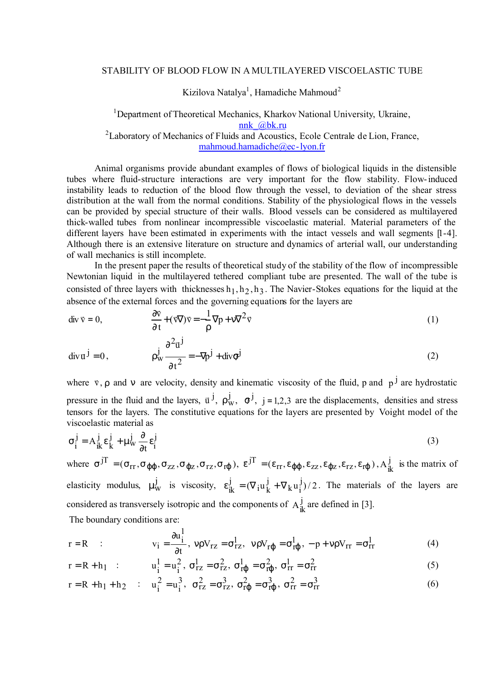## STABILITY OF BLOOD FLOW IN A MULTILAYERED VISCOELASTIC TUBE

Kizilova Natalya<sup>1</sup>, Hamadiche Mahmoud<sup>2</sup>

<sup>1</sup>Department of Theoretical Mechanics, Kharkov National University, Ukraine, nnk\_@bk.ru <sup>2</sup>Laboratory of Mechanics of Fluids and Acoustics, Ecole Centrale de Lion, France,

mahmoud.hamadiche@ec-lyon.fr

Animal organisms provide abundant examples of flows of biological liquids in the distensible tubes where fluid-structure interactions are very important for the flow stability. Flow-induced instability leads to reduction of the blood flow through the vessel, to deviation of the shear stress distribution at the wall from the normal conditions. Stability of the physiological flows in the vessels can be provided by special structure of their walls. Blood vessels can be considered as multilayered thick-walled tubes from nonlinear incompressible viscoelastic material. Material parameters of the different layers have been estimated in experiments with the intact vessels and wall segments [1-4]. Although there is an extensive literature on structure and dynamics of arterial wall, our understanding of wall mechanics is still incomplete.

In the present paper the results of theoretical study of the stability of the flow of incompressible Newtonian liquid in the multilayered tethered compliant tube are presented. The wall of the tube is consisted of three layers with thicknesses  $h_1, h_2, h_3$ . The Navier-Stokes equations for the liquid at the absence of the external forces and the governing equations for the layers are

$$
\text{div } \vec{v} = 0, \qquad \frac{\partial \vec{v}}{\partial t} + (\vec{v} \nabla) \vec{v} = -\frac{1}{\rho} \nabla p + v \nabla^2 \vec{v}
$$
 (1)

$$
\operatorname{div} \overline{\mathbf{u}}^{\mathbf{j}} = 0, \qquad \qquad \rho_{\mathbf{w}}^{\mathbf{j}} \frac{\partial^2 \overline{\mathbf{u}}^{\mathbf{j}}}{\partial t^2} = -\nabla p^{\mathbf{j}} + \operatorname{div} \sigma^{\mathbf{j}} \tag{2}
$$

where  $\bf{v}$ ,  $\bf{\rho}$  and **n** are velocity, density and kinematic viscosity of the fluid, p and  $\bf{\rho}$ <sup>j</sup> are hydrostatic pressure in the fluid and the layers,  $\vec{u}^j$ ,  $\rho_w^j$ ,  $\sigma^j$ ,  $j = 1,2,3$  are the displacements, densities and stress tensors for the layers. The constitutive equations for the layers are presented by Voight model of the viscoelastic material as

$$
\sigma_i^j = A_{ik}^j \varepsilon_k^j + \mu_w^j \frac{\partial}{\partial t} \varepsilon_i^j
$$
 (3)

where  $\sigma^{jT} = (\sigma_{rr}, \sigma_{\phi\phi}, \sigma_{zz}, \sigma_{\phi z}, \sigma_{rz}, \sigma_{r\phi})$ ,  $\vec{\epsilon}^{jT} = (\epsilon_{rr}, \epsilon_{\phi\phi}, \epsilon_{zz}, \epsilon_{\phi z}, \epsilon_{rz}, \epsilon_{r\phi})$ ,  $A_{ik}^{j}$  is the matrix of elasticity modulus,  $\mu_{\rm W}^{\rm j}$  is viscosity,  $\varepsilon_{\rm ik}^{\rm j} = (\nabla_{\rm i} \mathbf{u}_{\rm k}^{\rm j} + \nabla_{\rm k} \mathbf{u}_{\rm i}^{\rm j})/2$  $k$ <sup>u</sup> $\frac{3}{1}$ j i<sup>u</sup>k  $\epsilon_{ik}^{j} = (\nabla_{i} u_{k}^{j} + \nabla_{k} u_{i}^{j})/2$ . The materials of the layers are considered as transversely isotropic and the components of  $A_{ik}^{j}$  are defined in [3].

The boundary conditions are:

$$
r = R \qquad : \qquad v_i = \frac{\partial u_i^1}{\partial t}, \quad v \rho V_{rz} = \sigma_{rz}^1, \quad v \rho V_{r\phi} = \sigma_{r\phi}^1, \quad -p + v \rho V_{rr} = \sigma_{rr}^1 \tag{4}
$$

$$
r = R + h_1
$$
 :  $u_i^1 = u_i^2$ ,  $\sigma_{rz}^1 = \sigma_{rz}^2$ ,  $\sigma_{r\phi}^1 = \sigma_{r\phi}^2$ ,  $\sigma_{rr}^1 = \sigma_{rr}^2$  (5)

$$
r = R + h_1 + h_2
$$
 :  $u_i^2 = u_i^3$ ,  $\sigma_{rz}^2 = \sigma_{rz}^3$ ,  $\sigma_{r\phi}^2 = \sigma_{r\phi}^3$ ,  $\sigma_{rr}^2 = \sigma_{rr}^3$  (6)